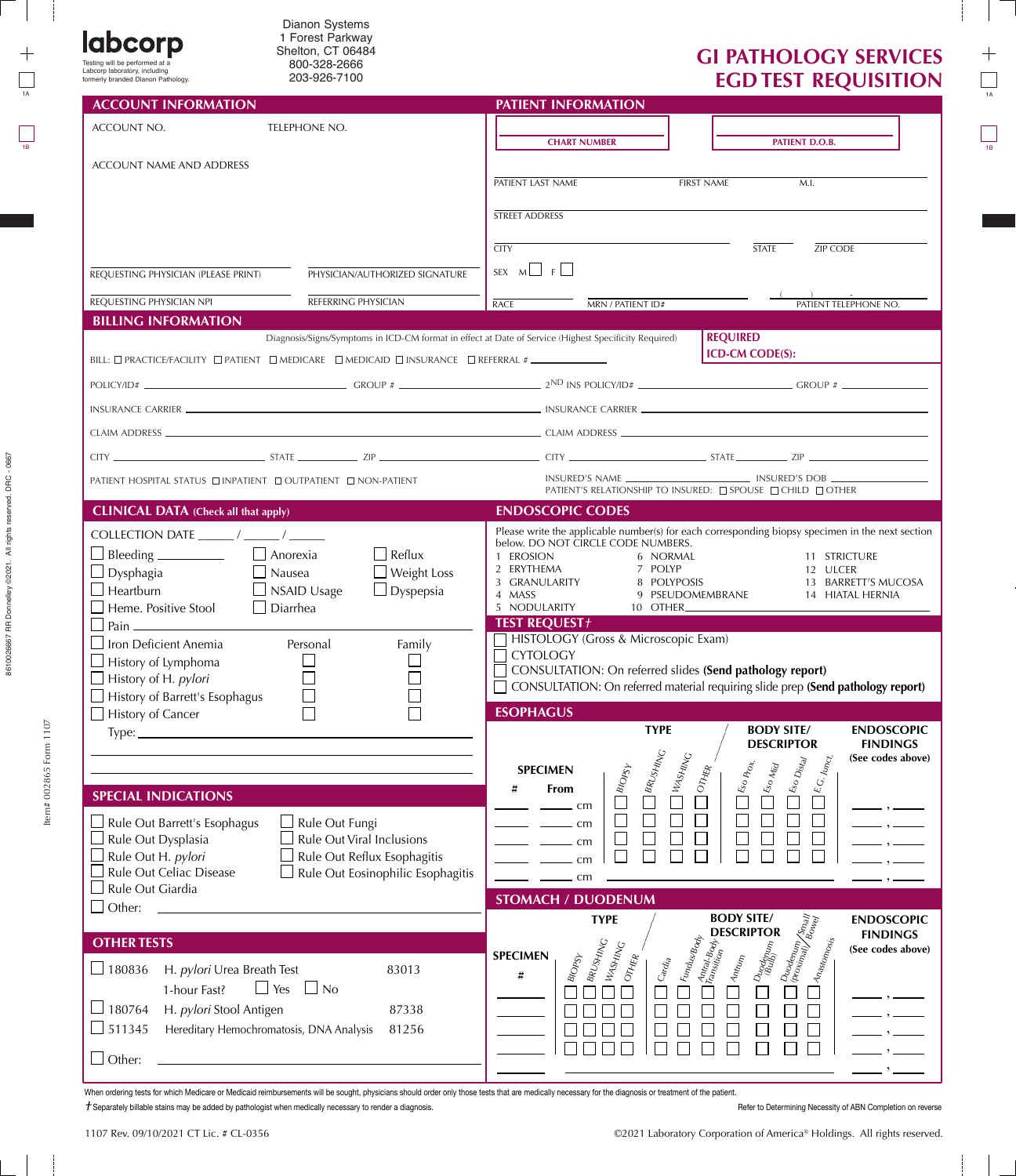| <b>labcorp</b><br>Testing will be performed at a<br>Labcorp laboratory, including<br>formerly branded Dianon Pathology.                                                                                                                                     | Diarion Systems<br>1 Forest Parkway<br>Shelton, CT 06484<br>800-328-2666<br>203-926-7100                                                                                                                                                                                                                                                    | <b>GI PATHOLOGY SERVICES</b><br><b>EGD TEST REQUISITION</b>                                                                                                                                                                                                                                                                                                                                                                                                                                                                                                                                                                                                                                                                                                                                                                                                                                                                                                                                                                                              |
|-------------------------------------------------------------------------------------------------------------------------------------------------------------------------------------------------------------------------------------------------------------|---------------------------------------------------------------------------------------------------------------------------------------------------------------------------------------------------------------------------------------------------------------------------------------------------------------------------------------------|----------------------------------------------------------------------------------------------------------------------------------------------------------------------------------------------------------------------------------------------------------------------------------------------------------------------------------------------------------------------------------------------------------------------------------------------------------------------------------------------------------------------------------------------------------------------------------------------------------------------------------------------------------------------------------------------------------------------------------------------------------------------------------------------------------------------------------------------------------------------------------------------------------------------------------------------------------------------------------------------------------------------------------------------------------|
| <b>ACCOUNT INFORMATION</b>                                                                                                                                                                                                                                  |                                                                                                                                                                                                                                                                                                                                             | <b>PATIENT INFORMATION</b>                                                                                                                                                                                                                                                                                                                                                                                                                                                                                                                                                                                                                                                                                                                                                                                                                                                                                                                                                                                                                               |
| ACCOUNT NO.                                                                                                                                                                                                                                                 | TELEPHONE NO.                                                                                                                                                                                                                                                                                                                               | PATIENT D.O.B.<br><b>CHART NUMBER</b>                                                                                                                                                                                                                                                                                                                                                                                                                                                                                                                                                                                                                                                                                                                                                                                                                                                                                                                                                                                                                    |
| ACCOUNT NAME AND ADDRESS                                                                                                                                                                                                                                    |                                                                                                                                                                                                                                                                                                                                             | PATIENT LAST NAME<br><b>FIRST NAME</b><br>M.I.                                                                                                                                                                                                                                                                                                                                                                                                                                                                                                                                                                                                                                                                                                                                                                                                                                                                                                                                                                                                           |
|                                                                                                                                                                                                                                                             |                                                                                                                                                                                                                                                                                                                                             | <b>STREET ADDRESS</b>                                                                                                                                                                                                                                                                                                                                                                                                                                                                                                                                                                                                                                                                                                                                                                                                                                                                                                                                                                                                                                    |
| REQUESTING PHYSICIAN (PLEASE PRINT)                                                                                                                                                                                                                         | PHYSICIAN/AUTHORIZED SIGNATURE                                                                                                                                                                                                                                                                                                              | <b>STATE</b><br>ZIP CODE<br><b>CITY</b><br>SEX M F                                                                                                                                                                                                                                                                                                                                                                                                                                                                                                                                                                                                                                                                                                                                                                                                                                                                                                                                                                                                       |
| REQUESTING PHYSICIAN NPI                                                                                                                                                                                                                                    | REFERRING PHYSICIAN                                                                                                                                                                                                                                                                                                                         | PATIENT TELEPHONE NO.<br>MRN / PATIENT ID#<br>RACE                                                                                                                                                                                                                                                                                                                                                                                                                                                                                                                                                                                                                                                                                                                                                                                                                                                                                                                                                                                                       |
| <b>BILLING INFORMATION</b>                                                                                                                                                                                                                                  |                                                                                                                                                                                                                                                                                                                                             |                                                                                                                                                                                                                                                                                                                                                                                                                                                                                                                                                                                                                                                                                                                                                                                                                                                                                                                                                                                                                                                          |
|                                                                                                                                                                                                                                                             | Diagnosis/Signs/Symptoms in ICD-CM format in effect at Date of Service (Highest Specificity Required)<br>BILL: $\square$ PRACTICE/FACILITY $\square$ PATIENT $\square$ MEDICARE $\square$ MEDICAID $\square$ INSURANCE $\square$ REFERRAL # $\square$                                                                                       | <b>REQUIRED</b><br><b>ICD-CM CODE(S):</b>                                                                                                                                                                                                                                                                                                                                                                                                                                                                                                                                                                                                                                                                                                                                                                                                                                                                                                                                                                                                                |
|                                                                                                                                                                                                                                                             |                                                                                                                                                                                                                                                                                                                                             |                                                                                                                                                                                                                                                                                                                                                                                                                                                                                                                                                                                                                                                                                                                                                                                                                                                                                                                                                                                                                                                          |
|                                                                                                                                                                                                                                                             |                                                                                                                                                                                                                                                                                                                                             |                                                                                                                                                                                                                                                                                                                                                                                                                                                                                                                                                                                                                                                                                                                                                                                                                                                                                                                                                                                                                                                          |
|                                                                                                                                                                                                                                                             |                                                                                                                                                                                                                                                                                                                                             |                                                                                                                                                                                                                                                                                                                                                                                                                                                                                                                                                                                                                                                                                                                                                                                                                                                                                                                                                                                                                                                          |
|                                                                                                                                                                                                                                                             |                                                                                                                                                                                                                                                                                                                                             |                                                                                                                                                                                                                                                                                                                                                                                                                                                                                                                                                                                                                                                                                                                                                                                                                                                                                                                                                                                                                                                          |
|                                                                                                                                                                                                                                                             | PATIENT HOSPITAL STATUS □ INPATIENT □ OUTPATIENT □ NON-PATIENT                                                                                                                                                                                                                                                                              | INSURED'S NAME _________________________________ INSURED'S DOB _________________<br>PATIENT'S RELATIONSHIP TO INSURED: □ SPOUSE □ CHILD □ OTHER                                                                                                                                                                                                                                                                                                                                                                                                                                                                                                                                                                                                                                                                                                                                                                                                                                                                                                          |
| <b>CLINICAL DATA</b> (Check all that apply)                                                                                                                                                                                                                 |                                                                                                                                                                                                                                                                                                                                             | <b>ENDOSCOPIC CODES</b>                                                                                                                                                                                                                                                                                                                                                                                                                                                                                                                                                                                                                                                                                                                                                                                                                                                                                                                                                                                                                                  |
| COLLECTION DATE $\frac{1}{2}$ / _________ / _________<br>$\Box$ Bleeding $\Box$<br>$\Box$ Dysphagia<br>$\Box$ Heartburn<br>Heme. Positive Stool<br>$\Box$ Pain<br>Iron Deficient Anemia<br>$\Box$ History of Lymphoma<br>$\Box$ History of H. <i>pylori</i> | $\Box$ Anorexia<br>$\Box$ Reflux<br>$\Box$ Nausea<br>$\blacksquare$ Weight Loss<br>NSAID Usage<br>$\Box$ Dyspepsia<br>$\Box$ Diarrhea<br>Personal<br>Family                                                                                                                                                                                 | Please write the applicable number(s) for each corresponding biopsy specimen in the next section<br>below. DO NOT CIRCLE CODE NUMBERS.<br>1 EROSION<br>6 NORMAL<br>11 STRICTURE<br>7 POLYP<br>2 ERYTHEMA<br>3 GRANULARITY<br>12 ULCER<br>8 POLYPOSIS<br>13 BARRETT'S MUCOSA<br>9 PSEUDOMEMBRANE<br>4 MASS<br>14 HIATAL HERNIA<br>5 NODULARITY 10 OTHER<br><b>TEST REQUEST +</b><br>HISTOLOGY (Gross & Microscopic Exam)<br>$\Box$ CYTOLOGY<br>CONSULTATION: On referred slides (Send pathology report)<br>CONSULTATION: On referred material requiring slide prep (Send pathology report)                                                                                                                                                                                                                                                                                                                                                                                                                                                                |
| History of Barrett's Esophagus<br>History of Cancer                                                                                                                                                                                                         |                                                                                                                                                                                                                                                                                                                                             | <b>ESOPHAGUS</b>                                                                                                                                                                                                                                                                                                                                                                                                                                                                                                                                                                                                                                                                                                                                                                                                                                                                                                                                                                                                                                         |
| Type:<br><b>SPECIAL INDICATIONS</b><br>Rule Out Barrett's Esophagus<br>Rule Out Dysplasia<br>$\Box$ Rule Out H. <i>pylori</i><br>Rule Out Celiac Disease<br>Rule Out Giardia                                                                                | $\Box$ Rule Out Fungi<br>Rule Out Viral Inclusions<br>Rule Out Reflux Esophagitis<br>Rule Out Eosinophilic Esophagitis                                                                                                                                                                                                                      | <b>TYPE</b><br><b>BODY SITE/</b><br><b>ENDOSCOPIC</b><br><b>DESCRIPTOR</b><br><b>FINDINGS</b><br>$\Box$ BRUSHING<br><b>WASHING</b><br>(See codes above)<br>$\begin{aligned} \mid \xi_{\text{G,}\text{ /}\text{Lip}_{\text{G}}} \end{aligned}$<br>$ \, \boldsymbol{\mathit{E}}_{SO}\, \boldsymbol{D}_{iS\dag q}/\,$<br>Eso Prox.<br>$\epsilon_{so_{M_{iq}}}$<br><b>SPECIMEN</b><br><b>OTHER</b><br>$\mathsf{BIO}_{PSY}$<br>#<br>From<br>Γ<br>$\Box$<br>$-$ cm<br>$\Box$<br>Г<br>Г<br>L<br>$\overline{\phantom{a}}$<br>$ -$ cm<br>$\Box$<br>$\overline{\phantom{a}}$ $\overline{\phantom{a}}$ $\overline{\phantom{a}}$ $\overline{\phantom{a}}$ $\overline{\phantom{a}}$ $\overline{\phantom{a}}$ $\overline{\phantom{a}}$ $\overline{\phantom{a}}$ $\overline{\phantom{a}}$ $\overline{\phantom{a}}$ $\overline{\phantom{a}}$ $\overline{\phantom{a}}$ $\overline{\phantom{a}}$ $\overline{\phantom{a}}$ $\overline{\phantom{a}}$ $\overline{\phantom{a}}$ $\overline{\phantom{a}}$ $\overline{\phantom{a}}$ $\overline{\$<br>Г<br>$\frac{1}{2}$ cm<br>cm |
| $\Box$ Other:                                                                                                                                                                                                                                               |                                                                                                                                                                                                                                                                                                                                             | <b>STOMACH / DUODENUM</b><br><b>BODY SITE/</b><br><b>TYPE</b><br><b>ENDOSCOPIC</b>                                                                                                                                                                                                                                                                                                                                                                                                                                                                                                                                                                                                                                                                                                                                                                                                                                                                                                                                                                       |
| <b>OTHER TESTS</b><br>$\Box$ 180836<br>H. pylori Urea Breath Test<br>1-hour Fast?<br>$\Box$ 180764<br>H. pylori Stool Antigen<br>$\Box$ 511345<br>$\Box$ Other:                                                                                             | 83013<br>$\Box$ Yes<br>N <sub>0</sub><br>87338<br>Hereditary Hemochromatosis, DNA Analysis<br>81256<br><u>and the contract of the contract of the contract of the contract of the contract of the contract of the contract of the contract of the contract of the contract of the contract of the contract of the contract of the contr</u> | <b>DESCRIPTOR</b><br><b>FINDINGS</b><br>$1\epsilon_{undus/Boq\phi}$<br>$\Box_{A_{n_{3}k_{0}}_{n_{0}s_{i_{3}}}}$<br>Antral-Body<br>Transition<br>I BRUSHING<br>I MASHING<br>$1^{\mathit{D}_{\mathit{U}\mathit{Q}\mathit{G}}}$ l $\overset{\mathit{E}\mathit{U}\mathit{U}}{\mathit{B}\mathit{U}\mathit{I}\mathit{D}}$<br>(See codes above)<br><b>SPECIMEN</b><br>$BIOPSY$<br>$\frac{A_{\eta_{\mathcal{U}_{\eta_{\eta_{\eta}}}}}}{A_{\eta_{\mathcal{U}_{\eta_{\eta_{\eta}}}}}}$<br><b>OTHER</b><br>Cardia<br>$\#$                                                                                                                                                                                                                                                                                                                                                                                                                                                                                                                                           |

Dianon Systems

 $f$  Separately billable stains may be added by pathologist when medically necessary to render a diagnosis.

Refer to Determining Necessity of ABN Completion on reverse

ł  $\overline{\phantom{a}}$ 

 $\frac{1}{1A}$ 

 $\overline{+}$ 

1B

 $\Box$ 

Item# 002865 Form 1107

Item# 002865 Form 1107

 $\frac{1}{1A}$ 

 $+$ 

 $\frac{1}{2}$  $\mathbf{I}$ 

1B